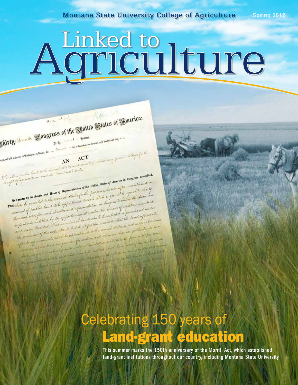**Montana State University College of Agriculture Spring 2012** 

# Agriculture

Putter (11)

ACT Companies may provide colleges for the

Ehirty Lemite Songress of the United States of America:

 $\label{eq:1} \text{begin set } \mathcal{M}_{\text{in}}(\mathcal{M}) = \mathcal{M}_{\text{in}}(\mathcal{M}) \text{,}$  <br> Legan and held at the  $\text{cap} \in \mathcal{M}$ 

Inative for this lands to the invest States and I.<br>Lingters for this lands to the investment with

A the - He cannot - Session.<br>A the - He cannot - Session, we demand right leaders and with:

afine funding lands to the theories of some of the United States of America in Congress assembled.<br>Et of agreeal from one the States of Representation of the United States of America in Congress assembled and<br>an illegar by respect of agreements and some of Representation of the District States of Imerica in Congress and an any first continued and sometime and House of Representation of the District continued on the state and the state and th a comment by the senate and House of Representations of the Difference herein often membrent of the idealy ne a common by the senate and House of Representative for the functions of the file of particle the States are<br>at these be granted to the senate of states for the state of grand the senate of sight the States are an intern a a common by the Second to the several state of the cook of the computer of sight the Holle and the state of the second of the second of the second of the second of the second of the second of the second of the second of first be granted land to be appointed information in the cereaus of significant consideration of particular and the second consideration of the form of the land of the land of the second consideration of the second conside wound of funder costs Senator and remaind moder the exclusive a functioned moderate. expectively entitled by the of furthermal lands shall be selected that the land of present<br>expectively thousands and no minimized lands shall be selected that the land of subscriptions<br>the provincent of the sale the subscr for someoned the track are maintained by the states exactles distance exclusive and the lands are a<br>covered of their selection the of proclamate to the concret distance on public lands are a<br>second to the these one concern in the shall be approximate to the discussion there are proceeded for

have one present without the details of the big<br>and the state of the same to contain the details of the



This summer marks the 150th anniversary of the Morrill Act, which established land-grant institutions throughout our country, including Montana State University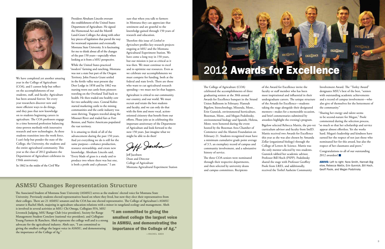

We have completed yet another amazing year in the College of Agriculture (COA), and I cannot help but reflect on the accomplishments of our students, staff, and faculty. Agriculture has been around forever. Yet every year researchers discover new and more efficient ways to do things, and they pass that new knowledge on to students beginning careers in agriculture. The COA professors engage in a time honored profession balancing time-proven methods with innovative research and new technologies. As these students transition into the work force, I can't help but ponder the state of the College, the University, the students and the entire agricultural community. This year as the class of 2012 graduates the Department of Agriculture celebrates its 150th anniversary.

In 1862 in the midst of the Civil War

President Abraham Lincoln oversaw the establishment of the United States Department of Agriculture. He signed the Homestead Act and the Morrill Land-Grant Colleges Act along with other key pieces of legislation that paved the way for westward expansion and eventually Montana State University. It is fascinating for me to think about all of the changes of the past 150 years—especially when looking at it from a MSU perspective.

While the United States practiced "modern" farming and ranching, Montana was not a state but part of the Oregon Territory. John Francis Grant settled in the fertile valley near present day Deer Lodge in 1858 and by 1862 was nursing worn out cattle from pioneers traveling on the Overland Trail back to health. He then traded one healthy cow for two unhealthy ones. Conrad Kohrs started marketing cattle to the mining communities and the cattle industry was soon thriving. Trappers traveled along the Missouri River and traded furs at Fort Benton, and Native Americans populated the vast territory.

It is amazing to think of all of the advancement during the past 150 years. And yet everything we do is still for the same purpose—enhance production, resource stewardship, and create new knowledge. Abraham Lincoln said, "Every blade of grass is a study and to produce two where there was but one, is both a profit and a pleasure." I am

sure that when you talk to farmers in Montana they can appreciate that sentiment and are grateful to the knowledge gained through 150 years of research and education.

Therefore this issue of *Linked to Agriculture* profiles key research projects ongoing at MSU and the Montana Agricultural Experiment Station. We have come a long way in 150 years, but our mission is just as critical as it was then. We must continue to excel and to optimize our resources. Even as we celebrate our accomplishments we must compete for funding, both at the federal and state levels. There are those who want to cut agricultural research spending—we must not let that happen.

Agriculture is critical to our community, our country, and our world. We must recruit and retain the best students and faculty, and we can only do that with the firm and more vocal, actionoriented citizenry that benefit from our efforts. Please join us in celebrating this important anniversary of the Department of Agriculture and look forward to the next 150 years. Just imagine what we might be able to do then!

Deff Jawbon

Congratulations to all of our outstanding 2012 awardees!

# **ASMSU Changes Representation Structure**

The Associated Student of Montana State University (ASMSU) serves as the students' elected voice for Montana State University. Previously students elected representatives based on where they lived, but now they elect their representatives from their colleges. There are 21 ASMSU senators and the COA has one elected representative. The College of Agriculture's ASMSU senator is Rachel Abeh, majoring in agriculture education-relations with a minor in rangeland ecology and management. Abeh

is involved in several activities at MSU: Chi Omega, Collegiate FFA, MSU Livestock Judging, MSU Range Club (vice president), Society for Range Management Student Conclave (national vice president), and Collegiate Young Farmers & Ranchers. Abeh represents the college well and is a strong advocate for the agricultural industry. Abeh says, "I am committed to giving the smallest college the largest voice in ASMSU, and demonstrating the importance of the College of Ag."

The College of Agriculture (COA) celebrated the accomplishments of three graduating seniors at the 30th annual Awards for Excellence banquet in the Strand Union Ballroom in February. Hannah Bigelow, biotechnology, Missoula, Mont., Erin Gunnick, environmental horticulture, Bozeman, Mont., and Megan Podolinsky, environmental biology and Spanish, Helena, Mont. were honored during the event hosted by the Bozeman Area Chamber of Commerce and the Alumni Foundation on February 21. Students recognized must have a minimum cumulative grade point average of 3.5, an exemplary record of campus and community involvement, and a substantive history of service.

The three COA seniors were nominated through their respective departments, and then selected by university deans and campus committees. Recipients

of the Award for Excellence invite the faculty or staff member who has been most inspirational and influential in their undergraduate careers. The unique structure of the Awards for Excellence—students taking the stage alongside their designated mentors—makes for a memorable occasion, and brief commentaries submitted by awardees highlight the evening's program.

Bigelow selected Rebecca Mattix, the pre-vet curriculum advisor and faculty from ImID. Mattix received two Awards for Excellence this year as she was also chosen by Amanda Zellar (organismal biology) through the College of Letters & Science. Mattix was the only mentor selected by two students. Gunnick tabbed her academic advisor, Professor Bill Hoch (PSPP). Podolinsky shared the stage with Professor Geoffrey Poole from LRES, and additionally, received the Torlief Aasheim Community

Involvement Award. The "Torley Award" designates MSU's best of the best, "seniors with outstanding academic achievements and a record of campus involvement—who also give of themselves for the betterment of the community."

EXCELLENCE

"Sharing her energy and talent seems to be second-nature for Megan," Poole commented during the selection process, "so much so that her scholarship and service appear almost effortless. Yet she works hard. Megan's leadership and kindness have earned her the respect of not just those who nominated her for this award, but also the respect of her classmates and peers."

ABOVE: Left to right: Nora Smith, Hannah Bigelow, Rebecca Mattix, Erin Gunnick, Bill Hoch, Geoff Poole, and Megan Podolinsky



Jeff Jacobsen Dean and Director College of Agriculture Montana Agricultural Experiment Station

"I am committed to giving the smallest college the largest voice in ASMSU, and demonstrating the importance of the College of Ag."

**EXCELLENCE**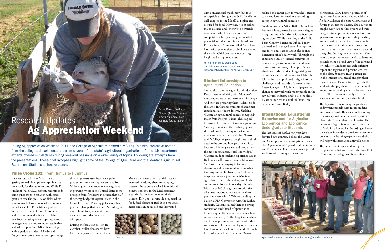During Ag Appreciation Weekend 2011, the College of Agriculture hosted a MSU Ag Fair with interactive booths from the college's departments and from several of the state's agricultural organizations. At the fair, departmental experts offered mini-lectures during breakout sessions on a wide variety of topics. Following are excerpts from the presentations. These brief synopses highlight some of the College of Agriculture and the Montana Agricultural Experiment Station's salient research.

# **Pulse Crops 101: From Humus to Hummus**

It seems researchers in Montana are getting excited about pulse crops, but not necessarily for the same reasons. While Dr. Prashant Jha, SARC scientist, recommends using pulse crops in rotation with cereal grains to ease the pressure on fields where specific weeds have developed a resistance to herbicide, Dr. Perry Miller, professor in the Department of Land Resources and Environmental Sciences, explained how incorporating pulse crops into weed management can lead to more sustainable agricultural practices. Miller is working with a graduate student, Macdonald Burgess, to explore how pulse crops change

# Research Updates earch Updates<br>Ag Appreciation Weekend

the energy costs associated with grain production and also improve soil quality. Miller argues the number one energy input in growing wheat in the United States is the nitrogen from fertilizers. He stated that half the energy budget in agriculture is in the form of fertilizer. Planting pulse crops like peas can change that balance. According to research findings, wheat yield was greater in crops that were rotated with peas.

During the breakout session in October, Miller also shared how lentils and peas were suited to the

Montana climate as well as risk factors involved in adding them to cropping systems. Pulse crops evolved in semiarid climate contexts in the Mediterranean area, similar to Montana's semiarid climate. Dry pea is a versatile crop used for food, feed, forage or fuel. It is a moisture miser and can be seeded and harvested



with conventional machinery, but it is susceptible to drought and hail. Lentils are well adapted to the MonDak region and are used for food. However, it is at risk to major diseases and sensitive to herbicide residue or drift. It is also a poor weed competitor. Chickpea has good market potential and does well in the Northern Plains climate. A fungus called Ascochyta has limited production of chickpea around the world. Chickpea has a low cutting height and a high seed cost.

For more on pulse crops go to http://landresources.montana.edu/ Department/Miller.html or call 406-994-5431.

# Student Internships in Agricultural Education

The faculty from the Agricultural Education Department work daily with Montana's most important natural resource—its people. And they are preparing their students to do the same. In October students shared their experiences as student interns. Shalaine Watson, an agricultural education (Ag Ed) major from Forsyth, Mont., chose ag ed because of her diverse interest in agriculture. As an ag ed major in the teaching option, she could study a variety of agriculture topics and not need to specialize. Watson said, "College in general taught me to think outside the box and how pertinent it is to become a life-long learner and keep up on the most recent agricultural knowledge." Watson's student teaching experience was in Richey, a small town in eastern Montana. She found it challenging to balance classroom and experiential learning when teaching animal husbandry to freshman, range science to sophomores, Montana agriculture to seventh graders, and floriculture to juniors all in one day. She said, "My time at MSU taught me to prioritize what was important to me and to always put in my best effort." While attending the National FFA Convention with the Richey students, Watson realized there is a strong

connection and thread of appreciation between agricultural students and teachers across the country. "I think ag teachers have a unique opportunity to connect with their students and their community on a different level than other teachers," she said. Through her student teaching experience, Watson

realized this career path is what she is meant to do and looks forward to a rewarding career in agricultural education.

Graduate student Nikki Bailey, from Fort Benton, Mont., earned a bachelor's degree in agricultural education with a focus on ag relations. While interning at the Judith Basin County Extension Office, Bailey planned and managed several camps, tours and fairs, and learned about the county Extension office's daily work. Through this experience, Bailey learned communication and organizational skills, and how to work with a variety of people. Bailey also learned the details of organizing and running a successful county 4-H fair. She felt the internship offered insight into the challenges and rewards of a career as an Extension agent. "My internship gave me a chance to network with many people in the agricultural industry and to use the skills I learned in class in a real life hands-on experience," said Bailey.

# International Educational **Experiences for Agricultural** Economics and Economics Undergraduate Students

The last issue of *Linked to Agriculture*  featured two courses, Follow the Grain and Conception to Consumption, which the Department of Agricultural Economics and Economics offer. These courses provide students with a unique international



perspective. Gary Brester, professor of agricultural economics, shared with the Ag Fair audience the history, structure and future plans for the classes. The courses are taught every two to three years and were designed to help students follow food from genetics to consumption while providing an international experience. Students in the Follow the Grain course have visited more than nine countries scattered around the globe. During the course experts from across disciplines interact with students and provide them a broad view of the commodity industry. Students research different topics and regions and present lectures to the class. Students must participate in the international travel and pay their own expenses. Faculty traveling with the students also pay their own expenses and are not subsidized by student fees or other costs. The trips are normally after the semester ends or during spring break.

The department is focusing on grants and endowments to help with future student and faculty travel. They are also developing relationships with international experts in places like New Zealand and Croatia. The department's goal is to welcome these experts to MSU for a few weeks. According to Brester the visitors-in-residence provide another component to the learning experience and also will help with international travel logistics.

The department has also developed a cooperative relationship with the Fort Peck Community College and is working to



Agriculural economics and economics undergraduates students

# **CALERALD DOWN COLLEGE COLLEGE**

Devon Ragen, Graduate Student (Animal Science) injecting a marker help estimate forage intake.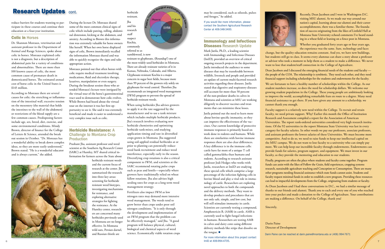Darin Paine can be reached at darin.paine@montana.edu or (406) 994-7671

Recently, Dean Jacobsen and I were in Washington D.C. visiting MSU alumni. As we made our way around our nation's capital, learning about our alumni and their career accomplishments, there was a familiar theme. The foundation of success originating from the likes of Linfield Hall at Montana State University echoed comments I've heard standing in a wheat field or leaning on a fence post in Montana.

Whether you graduated forty years ago or four years ago, the experience was the same. Sure, technology and faces

change, but the quality education remains constant. And yes, we have new buildings, but students still go to class. It seems every alumnus can share a story about a professor or advisor who took a moment to help them as a student to make a difference. We never want to lose that student/staff connection in the College of Agriculture.

Dean Jacobsen and I discussed the emerging financial needs of the students and faculty the people of the COA. The relationship is symbiotic. They need each other, and they need financial support including scholarships for the students and endowments for the faculty.

We are fortunate to have a healthy number of scholarships within the College. As our student numbers increase, so does the need for scholarship dollars. We welcome our growing student population in the College. These young people are ambitiously looking to improve the world, accomplishing remarkable feats en route to a degree. Many need financial assistance to get there. If you have given any amount to a scholarship, we cannot thank you enough.

Faculty support is a relatively new need within the College. To recruit and retain faculty, we need private support. Why? Earlier this month the Office of Institution Research and Assessment compiled a report for the Association of American Universities. The report rank-ordered universities considered very high research institutions. Of the 92 universities in the report Montana State University was last in every category for faculty salaries. In other words we pay our professors, associate professors, and assistant professors the lowest salaries of these Universities. We must become more competitive. And to do so, we need to raise funds to keep our intellectual capital on the MSU campus. We do not want to lose faculty to a university who can simply pay more. We can help keep our incredible faculty through endowments. Endowments can provide funds for salaries, program support, and equipment. We must invest in our faculty, as they provide the mentoring and education to our students.

Finally, programs are often the place where students and faculty come together. Program funds can assist with the likes of Follow the Grain, field experiences, cropping systems research, sustainable agriculture teaching and Conception to Consumption. There are many other programs needing financial assistance which state funds cannot assist. Students and faculty request minimal funds in order to establish a new program. Providing these resources can lead to impactful developments from the College, originating from students or faculty.

# Herbicide Resistance: A Challenge to Montana Crop **Production**

**IWM** commonly

> As Dean Jacobsen and I had these conversations in D.C., we had a similar message of thanks to our friends and alumni. Thank you to each and every one of you who reached into your pocket and made a donation to the College of Agriculture. Your contributions are making a difference. On behalf of the College, thank you!

Sincerely,

Darin Paine Director of Development





# **Research Updates cont.**

reduce barriers for students wanting to participate in these courses and continue their education at a four-year institution.

### Colic in Horses

Dr. Shannon Moreaux, veterinarian and assistant professor in the Department of Animal and Range Sciences, spoke about colic in horses. Moreaux explained colic is not a diagnosis, but a description of abdominal pain for a variety of conditions and abnormalities. There are more than 100 known causes of colic, the most common cause of premature death in domesticated horses. The estimated annual cost of horse colic in the United States is \$145 million.

According to Moreaux there are several causes for colic: the stretching or inflammation of the intestinal wall, excessive tension on the mesentery (the material that holds the intestines to the wall of the abdomen) or restrictions of the blood supply are a few common causes. Predisposing factors include age, sex, breed, diet, exercise, and some environmental conditions. Mindy Brown, director of finance for the College of Letters & Science, attended the break out session in October. "Dr. Moreaux has a wonderful ability to break down complex ideas, so they are more easily understood," Brown stated. "He is a wonderful educator and is always current," she added.

Jutila pointed out the need to learn more about bovine specific immunity, so they can improve the effectiveness of the vaccines. Our current knowledge of protective immune responses is primarily based on work done in rodents and humans. While there are similarities with bovine immune responses there are also clear differences. A key difference is in the immune cells: cattle have far more of a unique T cell called gamma/delta than humans and rodents. According to research assistant professor Jodi Hedges who works with Jutila, researchers at ImID are studying these special cells which comprise a large percentage of the infection fighting cells in bovine blood and play a vital role in immunology of cattle. Researchers are exploring novel approaches to both the compounds and the delivery methods. They want to develop products and procedures that are not only safe, simple, and low cost, but will still stimulate immunity in cattle. Scientists are currently testing a compound, Amphotericin B, (AMB) in cattle. AMB is currently used to fight fungal infections in humans. Researchers are testing AMB in calves and dairy cows using different delivery methods like strips that dissolve on the tongue.

During the lecture Dr. Moreaux shared

some of the most common clinical signs of colic which include pawing, rolling, abdominal distension, kicking at the abdomen, and anxiety. According to Brown this information was extremely valuable for horse owners like herself. When her own horse displayed signs of colic, Brown immediately recalled the information Moreaux shared and was able to quickly recognize the signs and take appropriate action.

 $\text{Im} \text{D} \text{ at } 406 \text{-}994 \text{-}4705.$ For more information about this project contact ImID at 406-994-4705.



Moreaux pointed out that often horses with colic require medical treatment involving medications, fluid and electrolyte therapy, laxatives, manipulation or even surgery. During the breakout session those who attended Moreaux's lecture were intrigued by the virtual tour of the horse's gastrointestinal tract used to demonstrate how colic evolves. While Brown had heard about the virtual tour on the internet it was her first opportunity to see it. She said it was extremely beneficial and made it easier to understand a very complex issue such as colic.

Prashant Jha, assistant professor and weed scientist at the Southern Ag Research Center (SARC) at Huntley, MT shared critical information for farmers across the State about

herbicide resistant weeds

and the current focus of research at the center. Jha summarized the research into three key areas: screening for herbicide resistant weed biotypes, investigating mechanisms for resistance, and exploring alternative strategies for fighting the resistance. At the Huntley center, researchers are concerned many herbicides previously used in Montana are no longer effective. In Montana wild oats, Persian darnel, and Russian thistle are

herbicide resistant.

Jha and his research staff suspect Kochia,

referred to as

tumbleweed, is now resistant to glyphosate, (Roundup®) one of the most widely used herbicides in Montana. There are already resistant varieties of it in Kansas, Nebraska, Colorado, and Alberta. Glyphosate-resistant Kochia is a major concern in sugar beet fields, because more than 99 percent of the growers rely solely on glyphosate for weed control. Therefore Jha recommends an integrated weed management (IWM) program to prevent the spread of herbicide-resistant weeds.

When using herbicides Jha advises growers to apply it at the rate suggested by the manufacturer and to use a tank mixture which includes multiple herbicide products. Jha's research involves evaluating new herbicide chemistries and optimizing herbicide tank-mixes, and studying application timing and rate in diversified crops grown in Montana. Jha suggested using soil-applied residual herbicides at or prior to planting can potentially reduce weed bank recruitment and reduce weed interference, especially early in the season. Diversifying crop rotations is also a critical component to IWM, and scientists at the SARC recommend rotating pulse crops such as peas and lentils—especially where growers have traditionally relied on wheat fallow rotations. Jha also advises high seeding rates for crops as a long term weed management strategy.

Fertilizers also impact IWM as low nitrogen rates may demand more intensive weed management. The weeds tend to grow better than crops under poor soil nitrogen conditions. "It is only through the development and implementation of an IWM program that the problem can be effectively managed," said Jha. "A good program will balance physical, cultural, biological and chemical aspects of weed science. Economically viable rotation crops may be considered, such as oilseeds, pulses and forages," he added.

If you would like more information, please contact the Southern Agricultural Research Center at 406-348-3400.

### Immunology and Infectious Diseases Research Update

Mark Jutila, Ph.D., a leading scientist with Immunology and Infectious Diseases (ImID), provided an overview of critical ongoing research projects in the department. Jutila introduced the audience to some diseases that may be transferable between wildlife, livestock and people and provided an update of current multi-facetted research activities regarding these diseases. Jutila stated that digestive and respiratory diseases still account for more than 50 percent of the non-predator deaths in calves in Montana and scientists at MSU are working diligently to discover vaccines and treatments that can minimize these losses.